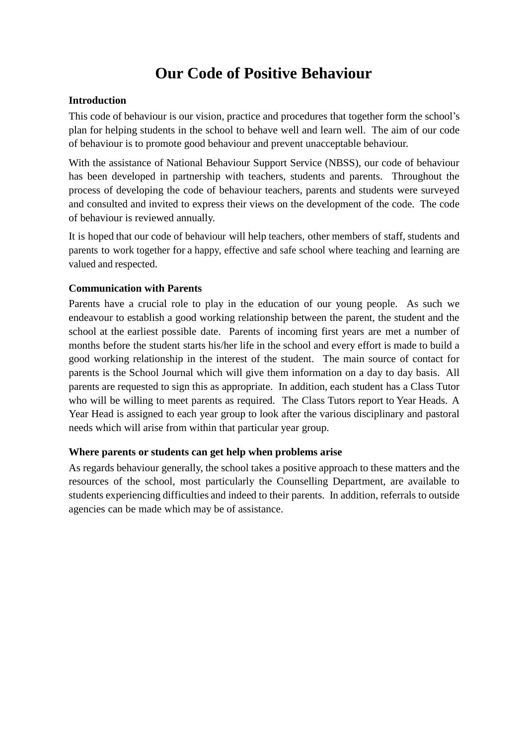# **Our Code of Positive Behaviour**

#### **Introduction**

This code of behaviour is our vision, practice and procedures that together form the school's plan for helping students in the school to behave well and learn well. The aim of our code of behaviour is to promote good behaviour and prevent unacceptable behaviour.

With the assistance of National Behaviour Support Service (NBSS), our code of behaviour has been developed in partnership with teachers, students and parents. Throughout the process of developing the code of behaviour teachers, parents and students were surveyed and consulted and invited to express their views on the development of the code. The code of behaviour is reviewed annually.

It is hoped that our code of behaviour will help teachers, other members of staff, students and parents to work together for a happy, effective and safe school where teaching and learning are valued and respected.

#### **Communication with Parents**

Parents have a crucial role to play in the education of our young people. As such we endeavour to establish a good working relationship between the parent, the student and the school at the earliest possible date. Parents of incoming first years are met a number of months before the student starts his/her life in the school and every effort is made to build a good working relationship in the interest of the student. The main source of contact for parents is the School Journal which will give them information on a day to day basis. All parents are requested to sign this as appropriate. In addition, each student has a Class Tutor who will be willing to meet parents as required. The Class Tutors report to Year Heads. A Year Head is assigned to each year group to look after the various disciplinary and pastoral needs which will arise from within that particular year group.

#### **Where parents or students can get help when problems arise**

As regards behaviour generally, the school takes a positive approach to these matters and the resources of the school, most particularly the Counselling Department, are available to students experiencing difficulties and indeed to their parents. In addition, referrals to outside agencies can be made which may be of assistance.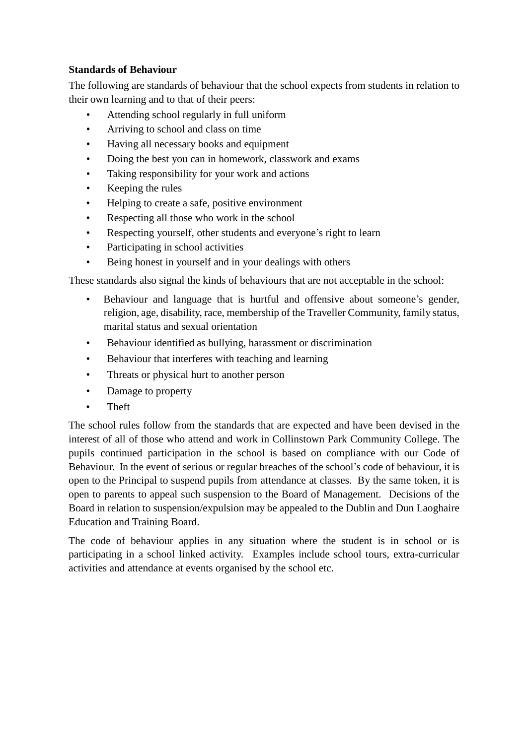#### **Standards of Behaviour**

The following are standards of behaviour that the school expects from students in relation to their own learning and to that of their peers:

- Attending school regularly in full uniform
- Arriving to school and class on time
- Having all necessary books and equipment
- Doing the best you can in homework, classwork and exams
- Taking responsibility for your work and actions
- Keeping the rules
- Helping to create a safe, positive environment
- Respecting all those who work in the school
- Respecting yourself, other students and everyone's right to learn
- Participating in school activities
- Being honest in yourself and in your dealings with others

These standards also signal the kinds of behaviours that are not acceptable in the school:

- Behaviour and language that is hurtful and offensive about someone's gender, religion, age, disability, race, membership of the Traveller Community, family status, marital status and sexual orientation
- Behaviour identified as bullying, harassment or discrimination
- Behaviour that interferes with teaching and learning
- Threats or physical hurt to another person
- Damage to property
- Theft

The school rules follow from the standards that are expected and have been devised in the interest of all of those who attend and work in Collinstown Park Community College. The pupils continued participation in the school is based on compliance with our Code of Behaviour. In the event of serious or regular breaches of the school's code of behaviour, it is open to the Principal to suspend pupils from attendance at classes. By the same token, it is open to parents to appeal such suspension to the Board of Management. Decisions of the Board in relation to suspension/expulsion may be appealed to the Dublin and Dun Laoghaire Education and Training Board.

The code of behaviour applies in any situation where the student is in school or is participating in a school linked activity. Examples include school tours, extra-curricular activities and attendance at events organised by the school etc.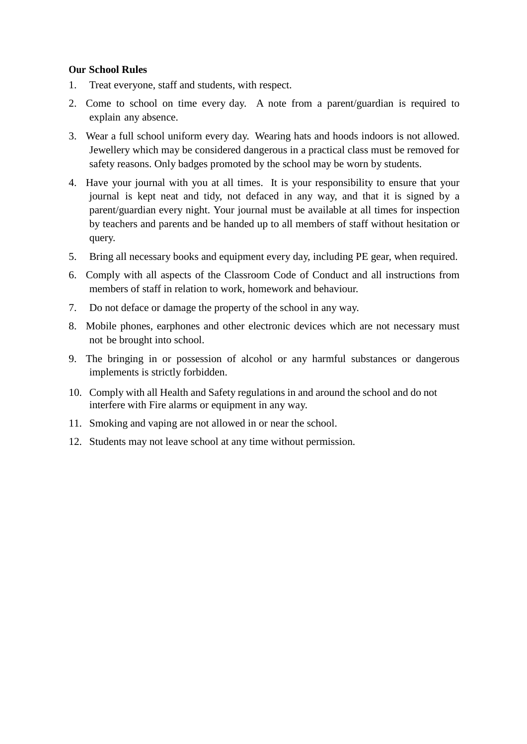#### **Our School Rules**

- 1. Treat everyone, staff and students, with respect.
- 2. Come to school on time every day. A note from a parent/guardian is required to explain any absence.
- 3. Wear a full school uniform every day. Wearing hats and hoods indoors is not allowed. Jewellery which may be considered dangerous in a practical class must be removed for safety reasons. Only badges promoted by the school may be worn by students.
- 4. Have your journal with you at all times. It is your responsibility to ensure that your journal is kept neat and tidy, not defaced in any way, and that it is signed by a parent/guardian every night. Your journal must be available at all times for inspection by teachers and parents and be handed up to all members of staff without hesitation or query.
- 5. Bring all necessary books and equipment every day, including PE gear, when required.
- 6. Comply with all aspects of the Classroom Code of Conduct and all instructions from members of staff in relation to work, homework and behaviour.
- 7. Do not deface or damage the property of the school in any way.
- 8. Mobile phones, earphones and other electronic devices which are not necessary must not be brought into school.
- 9. The bringing in or possession of alcohol or any harmful substances or dangerous implements is strictly forbidden.
- 10. Comply with all Health and Safety regulations in and around the school and do not interfere with Fire alarms or equipment in any way.
- 11. Smoking and vaping are not allowed in or near the school.
- 12. Students may not leave school at any time without permission.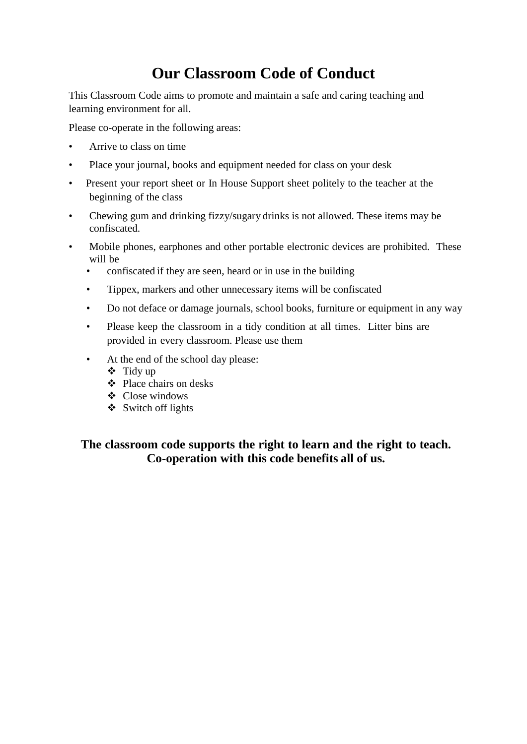# **Our Classroom Code of Conduct**

This Classroom Code aims to promote and maintain a safe and caring teaching and learning environment for all.

Please co-operate in the following areas:

- Arrive to class on time
- Place your journal, books and equipment needed for class on your desk
- Present your report sheet or In House Support sheet politely to the teacher at the beginning of the class
- Chewing gum and drinking fizzy/sugary drinks is not allowed. These items may be confiscated.
- Mobile phones, earphones and other portable electronic devices are prohibited. These will be
	- confiscated if they are seen, heard or in use in the building
	- Tippex, markers and other unnecessary items will be confiscated
	- Do not deface or damage journals, school books, furniture or equipment in any way
	- Please keep the classroom in a tidy condition at all times. Litter bins are provided in every classroom. Please use them
	- At the end of the school day please:
		- $\div$  Tidy up
		- Place chairs on desks
		- Close windows
		- $\div$  Switch off lights

### **The classroom code supports the right to learn and the right to teach. Co-operation with this code benefits all of us.**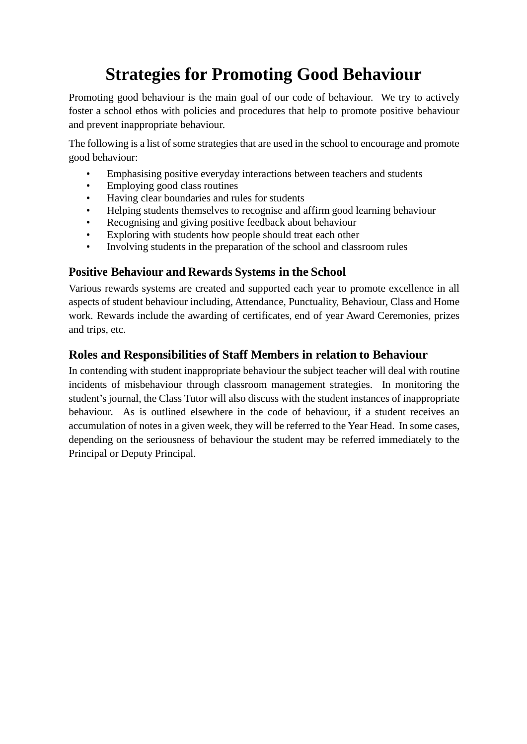# **Strategies for Promoting Good Behaviour**

Promoting good behaviour is the main goal of our code of behaviour. We try to actively foster a school ethos with policies and procedures that help to promote positive behaviour and prevent inappropriate behaviour.

The following is a list of some strategies that are used in the school to encourage and promote good behaviour:

- Emphasising positive everyday interactions between teachers and students
- Employing good class routines
- Having clear boundaries and rules for students
- Helping students themselves to recognise and affirm good learning behaviour
- Recognising and giving positive feedback about behaviour
- Exploring with students how people should treat each other
- Involving students in the preparation of the school and classroom rules

#### **Positive Behaviour and Rewards Systems in the School**

Various rewards systems are created and supported each year to promote excellence in all aspects of student behaviour including, Attendance, Punctuality, Behaviour, Class and Home work. Rewards include the awarding of certificates, end of year Award Ceremonies, prizes and trips, etc.

#### **Roles and Responsibilities of Staff Members in relation to Behaviour**

In contending with student inappropriate behaviour the subject teacher will deal with routine incidents of misbehaviour through classroom management strategies. In monitoring the student's journal, the Class Tutor will also discuss with the student instances of inappropriate behaviour. As is outlined elsewhere in the code of behaviour, if a student receives an accumulation of notes in a given week, they will be referred to the Year Head. In some cases, depending on the seriousness of behaviour the student may be referred immediately to the Principal or Deputy Principal.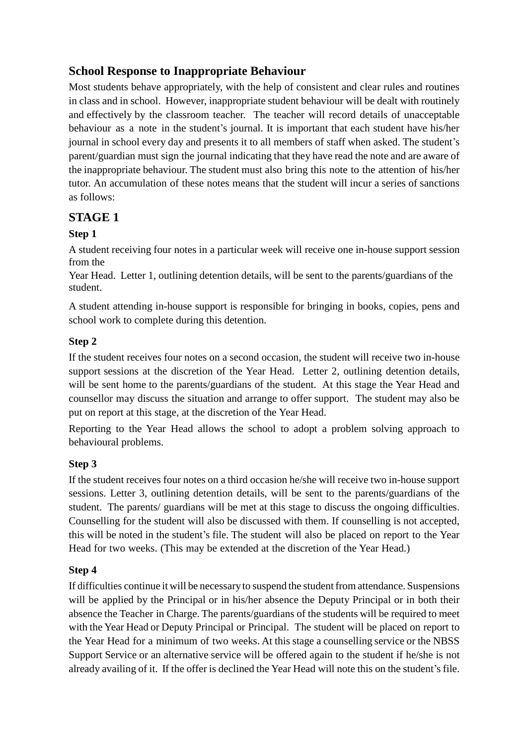## **School Response to Inappropriate Behaviour**

Most students behave appropriately, with the help of consistent and clear rules and routines in class and in school. However, inappropriate student behaviour will be dealt with routinely and effectively by the classroom teacher. The teacher will record details of unacceptable behaviour as a note in the student's journal. It is important that each student have his/her journal in school every day and presents it to all members of staff when asked. The student's parent/guardian must sign the journal indicating that they have read the note and are aware of the inappropriate behaviour. The student must also bring this note to the attention of his/her tutor. An accumulation of these notes means that the student will incur a series of sanctions as follows:

## **STAGE 1**

#### **Step 1**

A student receiving four notes in a particular week will receive one in-house support session from the

Year Head. Letter 1, outlining detention details, will be sent to the parents/guardians of the student.

A student attending in-house support is responsible for bringing in books, copies, pens and school work to complete during this detention.

#### **Step 2**

If the student receives four notes on a second occasion, the student will receive two in-house support sessions at the discretion of the Year Head. Letter 2, outlining detention details, will be sent home to the parents/guardians of the student. At this stage the Year Head and counsellor may discuss the situation and arrange to offer support. The student may also be put on report at this stage, at the discretion of the Year Head.

Reporting to the Year Head allows the school to adopt a problem solving approach to behavioural problems.

### **Step 3**

If the student receives four notes on a third occasion he/she will receive two in-house support sessions. Letter 3, outlining detention details, will be sent to the parents/guardians of the student. The parents/ guardians will be met at this stage to discuss the ongoing difficulties. Counselling for the student will also be discussed with them. If counselling is not accepted, this will be noted in the student's file. The student will also be placed on report to the Year Head for two weeks. (This may be extended at the discretion of the Year Head.)

#### **Step 4**

If difficulties continue it will be necessary to suspend the student from attendance. Suspensions will be applied by the Principal or in his/her absence the Deputy Principal or in both their absence the Teacher in Charge. The parents/guardians of the students will be required to meet with the Year Head or Deputy Principal or Principal. The student will be placed on report to the Year Head for a minimum of two weeks. At this stage a counselling service or the NBSS Support Service or an alternative service will be offered again to the student if he/she is not already availing of it. If the offer is declined the Year Head will note this on the student's file.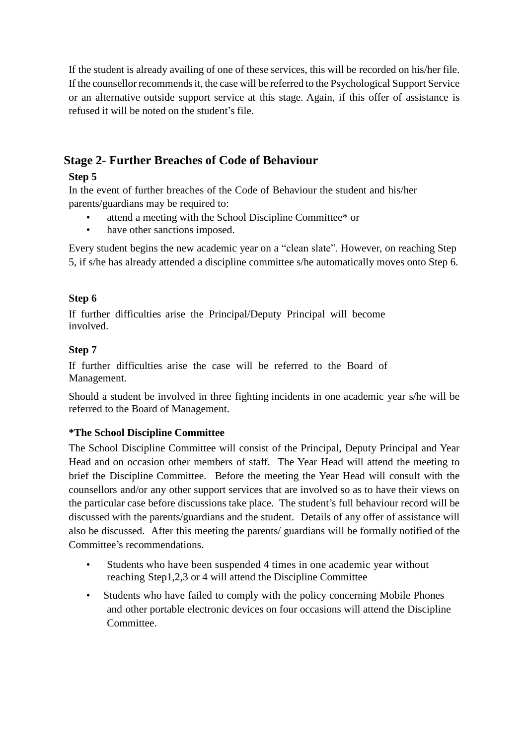If the student is already availing of one of these services, this will be recorded on his/her file. If the counsellor recommends it, the case will be referred to the Psychological Support Service or an alternative outside support service at this stage. Again, if this offer of assistance is refused it will be noted on the student's file.

## **Stage 2- Further Breaches of Code of Behaviour**

#### **Step 5**

In the event of further breaches of the Code of Behaviour the student and his/her parents/guardians may be required to:

- attend a meeting with the School Discipline Committee\* or
- have other sanctions imposed.

Every student begins the new academic year on a "clean slate". However, on reaching Step 5, if s/he has already attended a discipline committee s/he automatically moves onto Step 6.

#### **Step 6**

If further difficulties arise the Principal/Deputy Principal will become involved.

#### **Step 7**

If further difficulties arise the case will be referred to the Board of Management.

Should a student be involved in three fighting incidents in one academic year s/he will be referred to the Board of Management.

#### **\*The School Discipline Committee**

The School Discipline Committee will consist of the Principal, Deputy Principal and Year Head and on occasion other members of staff. The Year Head will attend the meeting to brief the Discipline Committee. Before the meeting the Year Head will consult with the counsellors and/or any other support services that are involved so as to have their views on the particular case before discussions take place. The student's full behaviour record will be discussed with the parents/guardians and the student. Details of any offer of assistance will also be discussed. After this meeting the parents/ guardians will be formally notified of the Committee's recommendations.

- Students who have been suspended 4 times in one academic year without reaching Step1,2,3 or 4 will attend the Discipline Committee
- Students who have failed to comply with the policy concerning Mobile Phones and other portable electronic devices on four occasions will attend the Discipline Committee.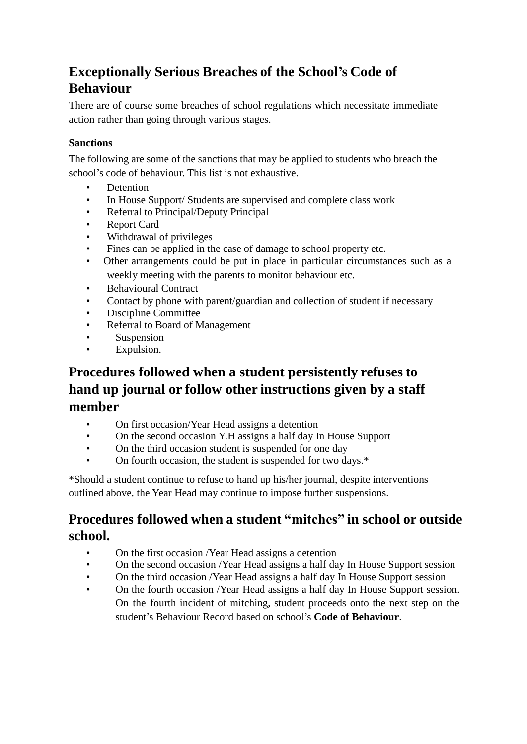## **Exceptionally Serious Breaches of the School's Code of Behaviour**

There are of course some breaches of school regulations which necessitate immediate action rather than going through various stages.

#### **Sanctions**

The following are some of the sanctions that may be applied to students who breach the school's code of behaviour. This list is not exhaustive.

- **Detention**
- In House Support/ Students are supervised and complete class work
- Referral to Principal/Deputy Principal
- Report Card
- Withdrawal of privileges
- Fines can be applied in the case of damage to school property etc.
- Other arrangements could be put in place in particular circumstances such as a weekly meeting with the parents to monitor behaviour etc.
- Behavioural Contract
- Contact by phone with parent/guardian and collection of student if necessary
- Discipline Committee
- Referral to Board of Management
- **Suspension**
- Expulsion.

## **Procedures followed when a student persistently refuses to hand up journal or follow other instructions given by a staff member**

- On first occasion/Year Head assigns a detention
- On the second occasion Y.H assigns a half day In House Support
- On the third occasion student is suspended for one day
- On fourth occasion, the student is suspended for two days.\*

\*Should a student continue to refuse to hand up his/her journal, despite interventions outlined above, the Year Head may continue to impose further suspensions.

## **Procedures followed when a student "mitches" in school or outside school.**

- On the first occasion /Year Head assigns a detention
- On the second occasion /Year Head assigns a half day In House Support session
- On the third occasion */Year Head assigns a half day In House Support session*
- On the fourth occasion /Year Head assigns a half day In House Support session. On the fourth incident of mitching, student proceeds onto the next step on the student's Behaviour Record based on school's **Code of Behaviour**.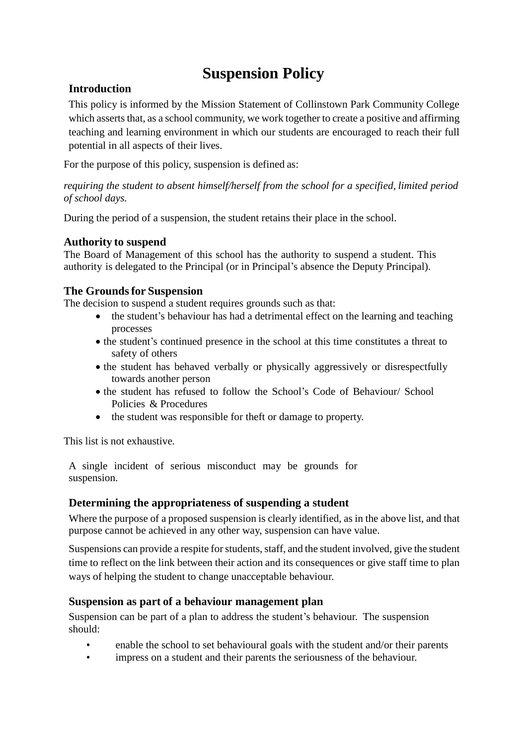# **Suspension Policy**

#### **Introduction**

This policy is informed by the Mission Statement of Collinstown Park Community College which asserts that, as a school community, we work together to create a positive and affirming teaching and learning environment in which our students are encouraged to reach their full potential in all aspects of their lives.

For the purpose of this policy, suspension is defined as:

*requiring the student to absent himself/herself from the school for a specified, limited period of school days.*

During the period of a suspension, the student retains their place in the school.

#### **Authority to suspend**

The Board of Management of this school has the authority to suspend a student. This authority is delegated to the Principal (or in Principal's absence the Deputy Principal).

#### **The Groundsfor Suspension**

The decision to suspend a student requires grounds such as that:

- the student's behaviour has had a detrimental effect on the learning and teaching processes
- the student's continued presence in the school at this time constitutes a threat to safety of others
- the student has behaved verbally or physically aggressively or disrespectfully towards another person
- the student has refused to follow the School's Code of Behaviour/ School Policies & Procedures
- the student was responsible for theft or damage to property.

This list is not exhaustive.

A single incident of serious misconduct may be grounds for suspension.

#### **Determining the appropriateness of suspending a student**

Where the purpose of a proposed suspension is clearly identified, as in the above list, and that purpose cannot be achieved in any other way, suspension can have value.

Suspensions can provide a respite for students, staff, and the student involved, give the student time to reflect on the link between their action and its consequences or give staff time to plan ways of helping the student to change unacceptable behaviour.

#### **Suspension as part of a behaviour management plan**

Suspension can be part of a plan to address the student's behaviour. The suspension should:

- enable the school to set behavioural goals with the student and/or their parents
- impress on a student and their parents the seriousness of the behaviour.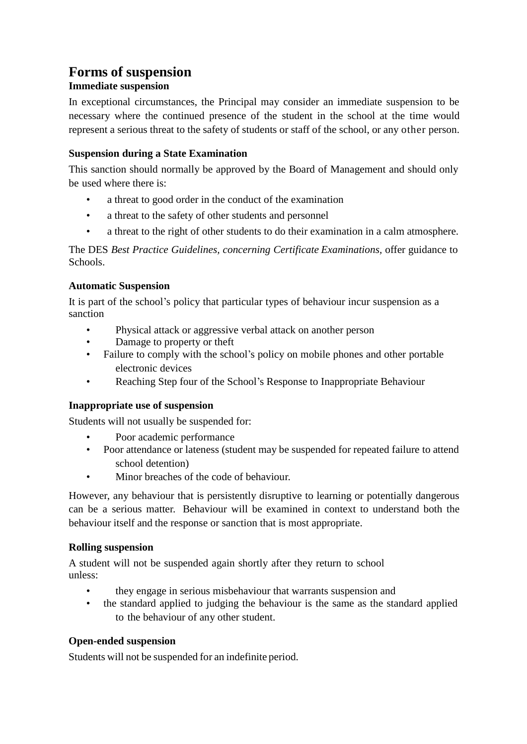## **Forms of suspension**

#### **Immediate suspension**

In exceptional circumstances, the Principal may consider an immediate suspension to be necessary where the continued presence of the student in the school at the time would represent a serious threat to the safety of students or staff of the school, or any other person.

#### **Suspension during a State Examination**

This sanction should normally be approved by the Board of Management and should only be used where there is:

- a threat to good order in the conduct of the examination
- a threat to the safety of other students and personnel
- a threat to the right of other students to do their examination in a calm atmosphere.

The DES *Best Practice Guidelines, concerning Certificate Examinations,* offer guidance to Schools.

#### **Automatic Suspension**

It is part of the school's policy that particular types of behaviour incur suspension as a sanction

- Physical attack or aggressive verbal attack on another person
- Damage to property or theft
- Failure to comply with the school's policy on mobile phones and other portable electronic devices
- Reaching Step four of the School's Response to Inappropriate Behaviour

#### **Inappropriate use of suspension**

Students will not usually be suspended for:

- Poor academic performance
- Poor attendance or lateness (student may be suspended for repeated failure to attend school detention)
- Minor breaches of the code of behaviour.

However, any behaviour that is persistently disruptive to learning or potentially dangerous can be a serious matter. Behaviour will be examined in context to understand both the behaviour itself and the response or sanction that is most appropriate.

#### **Rolling suspension**

A student will not be suspended again shortly after they return to school unless:

- they engage in serious misbehaviour that warrants suspension and
- the standard applied to judging the behaviour is the same as the standard applied to the behaviour of any other student.

#### **Open-ended suspension**

Students will not be suspended for an indefinite period.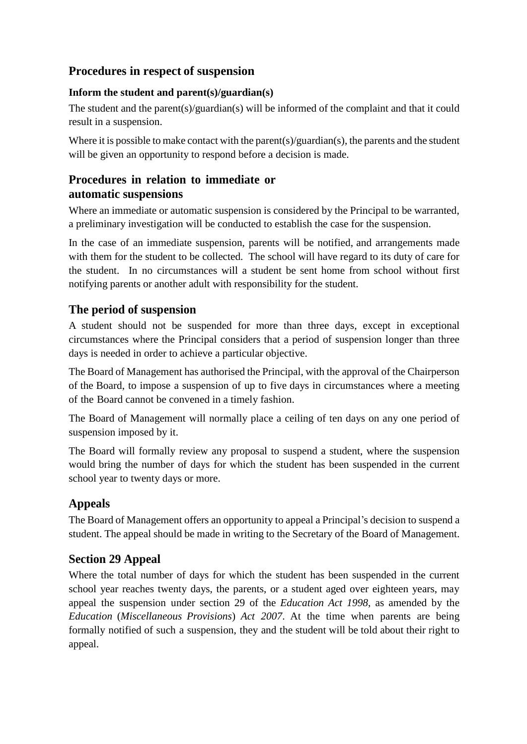### **Procedures in respect of suspension**

#### **Inform the student and parent(s)/guardian(s)**

The student and the parent(s)/guardian(s) will be informed of the complaint and that it could result in a suspension.

Where it is possible to make contact with the parent(s)/guardian(s), the parents and the student will be given an opportunity to respond before a decision is made.

### **Procedures in relation to immediate or automatic suspensions**

Where an immediate or automatic suspension is considered by the Principal to be warranted, a preliminary investigation will be conducted to establish the case for the suspension.

In the case of an immediate suspension, parents will be notified, and arrangements made with them for the student to be collected. The school will have regard to its duty of care for the student. In no circumstances will a student be sent home from school without first notifying parents or another adult with responsibility for the student.

### **The period of suspension**

A student should not be suspended for more than three days, except in exceptional circumstances where the Principal considers that a period of suspension longer than three days is needed in order to achieve a particular objective.

The Board of Management has authorised the Principal, with the approval of the Chairperson of the Board, to impose a suspension of up to five days in circumstances where a meeting of the Board cannot be convened in a timely fashion.

The Board of Management will normally place a ceiling of ten days on any one period of suspension imposed by it.

The Board will formally review any proposal to suspend a student, where the suspension would bring the number of days for which the student has been suspended in the current school year to twenty days or more.

## **Appeals**

The Board of Management offers an opportunity to appeal a Principal's decision to suspend a student. The appeal should be made in writing to the Secretary of the Board of Management.

## **Section 29 Appeal**

Where the total number of days for which the student has been suspended in the current school year reaches twenty days, the parents, or a student aged over eighteen years, may appeal the suspension under section 29 of the *Education Act 1998*, as amended by the *Education* (*Miscellaneous Provisions*) *Act 2007*. At the time when parents are being formally notified of such a suspension, they and the student will be told about their right to appeal.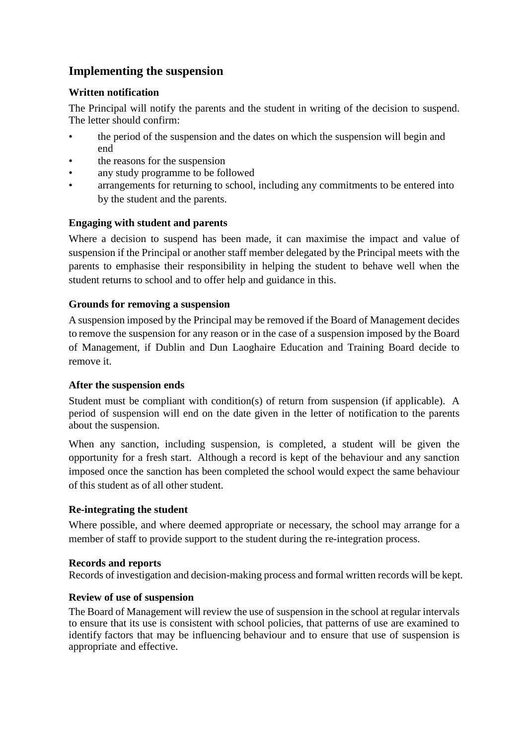### **Implementing the suspension**

#### **Written notification**

The Principal will notify the parents and the student in writing of the decision to suspend. The letter should confirm:

- the period of the suspension and the dates on which the suspension will begin and end
- the reasons for the suspension
- any study programme to be followed
- arrangements for returning to school, including any commitments to be entered into by the student and the parents.

#### **Engaging with student and parents**

Where a decision to suspend has been made, it can maximise the impact and value of suspension if the Principal or another staff member delegated by the Principal meets with the parents to emphasise their responsibility in helping the student to behave well when the student returns to school and to offer help and guidance in this.

#### **Grounds for removing a suspension**

A suspension imposed by the Principal may be removed if the Board of Management decides to remove the suspension for any reason or in the case of a suspension imposed by the Board of Management, if Dublin and Dun Laoghaire Education and Training Board decide to remove it.

#### **After the suspension ends**

Student must be compliant with condition(s) of return from suspension (if applicable). A period of suspension will end on the date given in the letter of notification to the parents about the suspension.

When any sanction, including suspension, is completed, a student will be given the opportunity for a fresh start. Although a record is kept of the behaviour and any sanction imposed once the sanction has been completed the school would expect the same behaviour of this student as of all other student.

#### **Re-integrating the student**

Where possible, and where deemed appropriate or necessary, the school may arrange for a member of staff to provide support to the student during the re-integration process.

#### **Records and reports**

Records of investigation and decision-making process and formal written records will be kept.

#### **Review of use of suspension**

The Board of Management will review the use of suspension in the school at regular intervals to ensure that its use is consistent with school policies, that patterns of use are examined to identify factors that may be influencing behaviour and to ensure that use of suspension is appropriate and effective.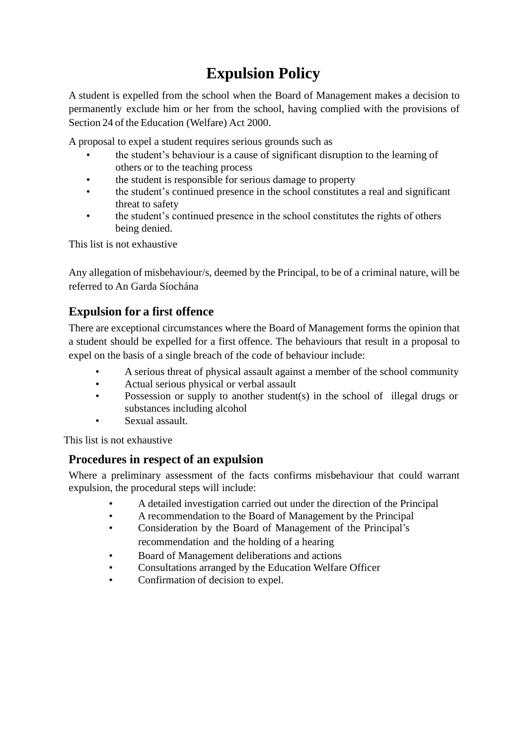# **Expulsion Policy**

A student is expelled from the school when the Board of Management makes a decision to permanently exclude him or her from the school, having complied with the provisions of Section 24 of the Education (Welfare) Act 2000.

A proposal to expel a student requires serious grounds such as

- the student's behaviour is a cause of significant disruption to the learning of others or to the teaching process
- the student is responsible for serious damage to property
- the student's continued presence in the school constitutes a real and significant threat to safety
- the student's continued presence in the school constitutes the rights of others being denied.

This list is not exhaustive

Any allegation of misbehaviour/s, deemed by the Principal, to be of a criminal nature, will be referred to An Garda Síochána

### **Expulsion for a first offence**

There are exceptional circumstances where the Board of Management forms the opinion that a student should be expelled for a first offence. The behaviours that result in a proposal to expel on the basis of a single breach of the code of behaviour include:

- A serious threat of physical assault against a member of the school community
- Actual serious physical or verbal assault
- Possession or supply to another student(s) in the school of illegal drugs or substances including alcohol
- Sexual assault.

This list is not exhaustive

### **Procedures in respect of an expulsion**

Where a preliminary assessment of the facts confirms misbehaviour that could warrant expulsion, the procedural steps will include:

- A detailed investigation carried out under the direction of the Principal
- A recommendation to the Board of Management by the Principal
- Consideration by the Board of Management of the Principal's recommendation and the holding of a hearing
- Board of Management deliberations and actions
- Consultations arranged by the Education Welfare Officer
- Confirmation of decision to expel.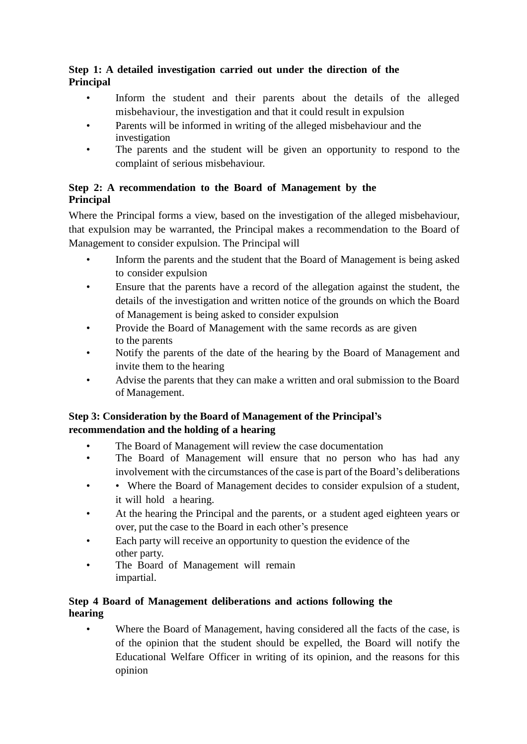#### **Step 1: A detailed investigation carried out under the direction of the Principal**

- Inform the student and their parents about the details of the alleged misbehaviour, the investigation and that it could result in expulsion
- Parents will be informed in writing of the alleged misbehaviour and the investigation
- The parents and the student will be given an opportunity to respond to the complaint of serious misbehaviour.

#### **Step 2: A recommendation to the Board of Management by the Principal**

Where the Principal forms a view, based on the investigation of the alleged misbehaviour, that expulsion may be warranted, the Principal makes a recommendation to the Board of Management to consider expulsion. The Principal will

- Inform the parents and the student that the Board of Management is being asked to consider expulsion
- Ensure that the parents have a record of the allegation against the student, the details of the investigation and written notice of the grounds on which the Board of Management is being asked to consider expulsion
- Provide the Board of Management with the same records as are given to the parents
- Notify the parents of the date of the hearing by the Board of Management and invite them to the hearing
- Advise the parents that they can make a written and oral submission to the Board of Management.

#### **Step 3: Consideration by the Board of Management of the Principal's recommendation and the holding of a hearing**

- The Board of Management will review the case documentation
- The Board of Management will ensure that no person who has had any involvement with the circumstances of the case is part of the Board's deliberations
- Where the Board of Management decides to consider expulsion of a student, it will hold a hearing.
- At the hearing the Principal and the parents, or a student aged eighteen years or over, put the case to the Board in each other's presence
- Each party will receive an opportunity to question the evidence of the other party.
- The Board of Management will remain impartial.

#### **Step 4 Board of Management deliberations and actions following the hearing**

• Where the Board of Management, having considered all the facts of the case, is of the opinion that the student should be expelled, the Board will notify the Educational Welfare Officer in writing of its opinion, and the reasons for this opinion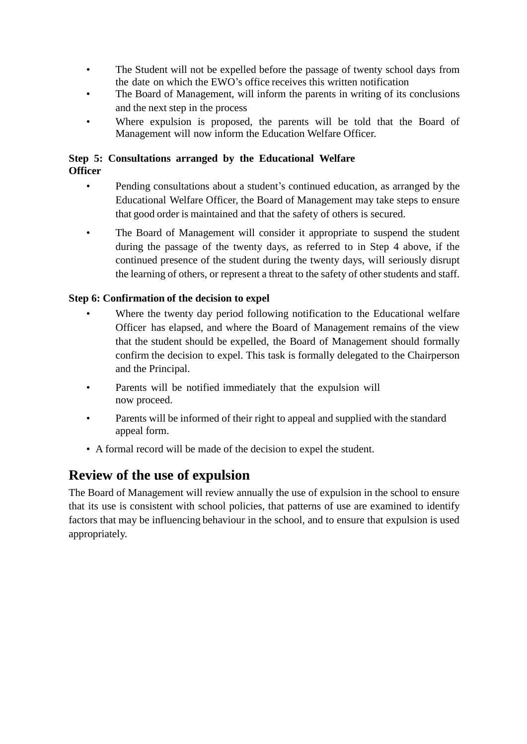- The Student will not be expelled before the passage of twenty school days from the date on which the EWO's office receives this written notification
- The Board of Management, will inform the parents in writing of its conclusions and the next step in the process
- Where expulsion is proposed, the parents will be told that the Board of Management will now inform the Education Welfare Officer.

#### **Step 5: Consultations arranged by the Educational Welfare Officer**

- Pending consultations about a student's continued education, as arranged by the Educational Welfare Officer, the Board of Management may take steps to ensure that good order is maintained and that the safety of others is secured.
- The Board of Management will consider it appropriate to suspend the student during the passage of the twenty days, as referred to in Step 4 above, if the continued presence of the student during the twenty days, will seriously disrupt the learning of others, or represent a threat to the safety of other students and staff.

#### **Step 6: Confirmation of the decision to expel**

- Where the twenty day period following notification to the Educational welfare Officer has elapsed, and where the Board of Management remains of the view that the student should be expelled, the Board of Management should formally confirm the decision to expel. This task is formally delegated to the Chairperson and the Principal.
- Parents will be notified immediately that the expulsion will now proceed.
- Parents will be informed of their right to appeal and supplied with the standard appeal form.
- A formal record will be made of the decision to expel the student.

## **Review of the use of expulsion**

The Board of Management will review annually the use of expulsion in the school to ensure that its use is consistent with school policies, that patterns of use are examined to identify factors that may be influencing behaviour in the school, and to ensure that expulsion is used appropriately.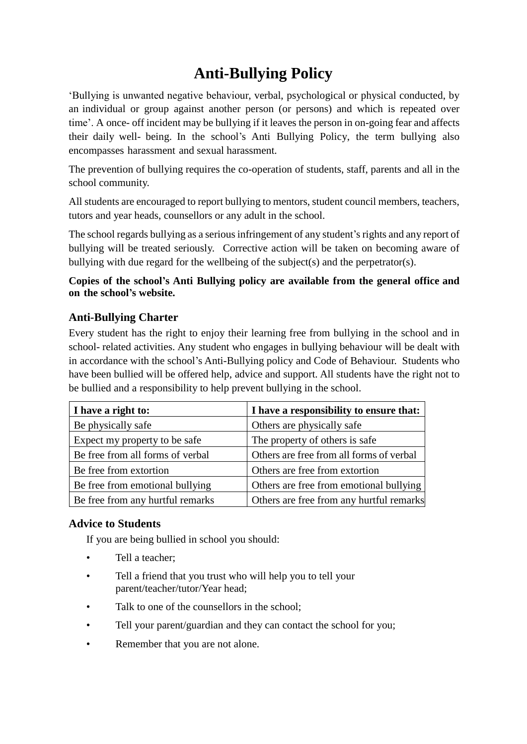# **Anti-Bullying Policy**

'Bullying is unwanted negative behaviour, verbal, psychological or physical conducted, by an individual or group against another person (or persons) and which is repeated over time'. A once- off incident may be bullying if it leaves the person in on-going fear and affects their daily well- being. In the school's Anti Bullying Policy, the term bullying also encompasses harassment and sexual harassment.

The prevention of bullying requires the co-operation of students, staff, parents and all in the school community.

All students are encouraged to report bullying to mentors, student council members, teachers, tutors and year heads, counsellors or any adult in the school.

The school regards bullying as a serious infringement of any student's rights and any report of bullying will be treated seriously. Corrective action will be taken on becoming aware of bullying with due regard for the wellbeing of the subject(s) and the perpetrator(s).

**Copies of the school's Anti Bullying policy are available from the general office and on the school's website.**

### **Anti-Bullying Charter**

Every student has the right to enjoy their learning free from bullying in the school and in school- related activities. Any student who engages in bullying behaviour will be dealt with in accordance with the school's Anti-Bullying policy and Code of Behaviour. Students who have been bullied will be offered help, advice and support. All students have the right not to be bullied and a responsibility to help prevent bullying in the school.

| I have a right to:               | I have a responsibility to ensure that:  |
|----------------------------------|------------------------------------------|
| Be physically safe               | Others are physically safe               |
| Expect my property to be safe    | The property of others is safe           |
| Be free from all forms of verbal | Others are free from all forms of verbal |
| Be free from extortion           | Others are free from extortion           |
| Be free from emotional bullying  | Others are free from emotional bullying  |
| Be free from any hurtful remarks | Others are free from any hurtful remarks |

#### **Advice to Students**

If you are being bullied in school you should:

- Tell a teacher:
- Tell a friend that you trust who will help you to tell your parent/teacher/tutor/Year head;
- Talk to one of the counsellors in the school;
- Tell your parent/guardian and they can contact the school for you:
- Remember that you are not alone.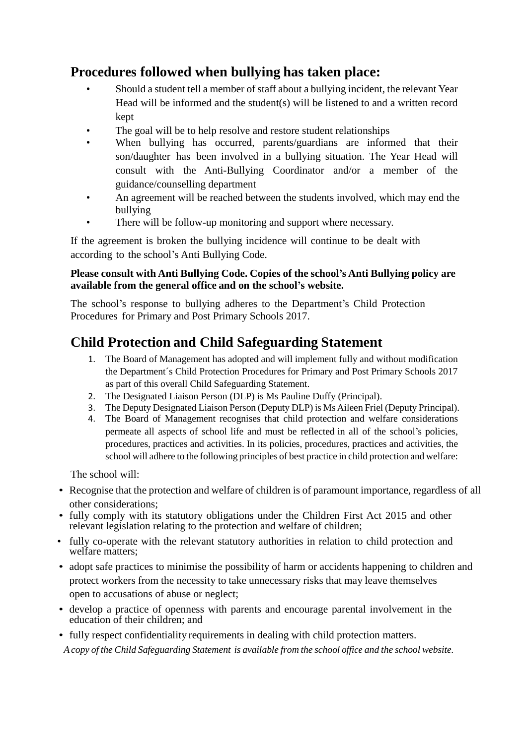## **Procedures followed when bullying has taken place:**

- Should a student tell a member of staff about a bullying incident, the relevant Year Head will be informed and the student(s) will be listened to and a written record kept
- The goal will be to help resolve and restore student relationships
- When bullying has occurred, parents/guardians are informed that their son/daughter has been involved in a bullying situation. The Year Head will consult with the Anti-Bullying Coordinator and/or a member of the guidance/counselling department
- An agreement will be reached between the students involved, which may end the bullying
- There will be follow-up monitoring and support where necessary.

If the agreement is broken the bullying incidence will continue to be dealt with according to the school's Anti Bullying Code.

#### **Please consult with Anti Bullying Code. Copies of the school's Anti Bullying policy are available from the general office and on the school's website.**

The school's response to bullying adheres to the Department's Child Protection Procedures for Primary and Post Primary Schools 2017.

## **Child Protection and Child Safeguarding Statement**

- 1. The Board of Management has adopted and will implement fully and without modification the Department´s Child Protection Procedures for Primary and Post Primary Schools 2017 as part of this overall Child Safeguarding Statement.
- 2. The Designated Liaison Person (DLP) is Ms Pauline Duffy (Principal).
- 3. The Deputy Designated Liaison Person (Deputy DLP) is MsAileen Friel (Deputy Principal).
- 4. The Board of Management recognises that child protection and welfare considerations permeate all aspects of school life and must be reflected in all of the school's policies, procedures, practices and activities. In its policies, procedures, practices and activities, the school will adhere to the following principles of best practice in child protection and welfare:

The school will:

- Recognise that the protection and welfare of children is of paramount importance, regardless of all other considerations;
- fully comply with its statutory obligations under the Children First Act 2015 and other relevant legislation relating to the protection and welfare of children;
- fully co-operate with the relevant statutory authorities in relation to child protection and welfare matters;
- adopt safe practices to minimise the possibility of harm or accidents happening to children and protect workers from the necessity to take unnecessary risks that may leave themselves open to accusations of abuse or neglect;
- develop a practice of openness with parents and encourage parental involvement in the education of their children; and
- fully respect confidentiality requirements in dealing with child protection matters. *Acopy of the Child Safeguarding Statement is available from the school office and the school website.*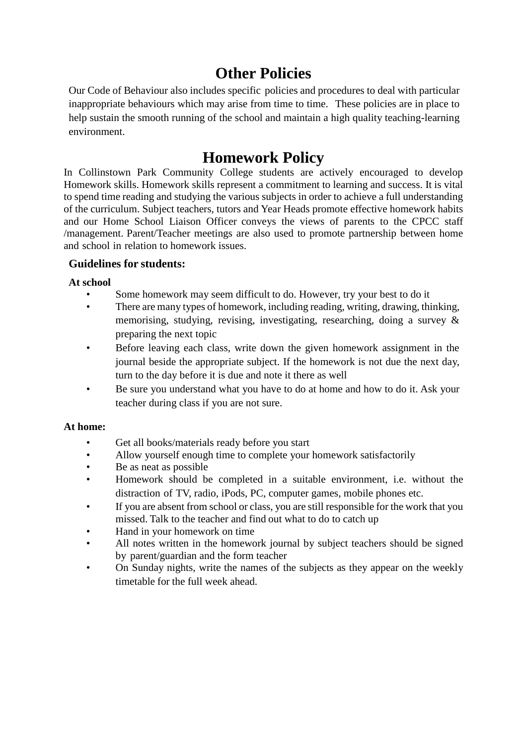# **Other Policies**

Our Code of Behaviour also includes specific policies and procedures to deal with particular inappropriate behaviours which may arise from time to time. These policies are in place to help sustain the smooth running of the school and maintain a high quality teaching-learning environment.

## **Homework Policy**

In Collinstown Park Community College students are actively encouraged to develop Homework skills. Homework skills represent a commitment to learning and success. It is vital to spend time reading and studying the various subjects in order to achieve a full understanding of the curriculum. Subject teachers, tutors and Year Heads promote effective homework habits and our Home School Liaison Officer conveys the views of parents to the CPCC staff /management. Parent/Teacher meetings are also used to promote partnership between home and school in relation to homework issues.

#### **Guidelines for students:**

#### **At school**

- Some homework may seem difficult to do. However, try your best to do it
- There are many types of homework, including reading, writing, drawing, thinking, memorising, studying, revising, investigating, researching, doing a survey & preparing the next topic
- Before leaving each class, write down the given homework assignment in the journal beside the appropriate subject. If the homework is not due the next day, turn to the day before it is due and note it there as well
- Be sure you understand what you have to do at home and how to do it. Ask your teacher during class if you are not sure.

#### **At home:**

- Get all books/materials ready before you start
- Allow yourself enough time to complete your homework satisfactorily
- Be as neat as possible
- Homework should be completed in a suitable environment, i.e. without the distraction of TV, radio, iPods, PC, computer games, mobile phones etc.
- If you are absent from school or class, you are still responsible for the work that you missed. Talk to the teacher and find out what to do to catch up
- Hand in your homework on time
- All notes written in the homework journal by subject teachers should be signed by parent/guardian and the form teacher
- On Sunday nights, write the names of the subjects as they appear on the weekly timetable for the full week ahead.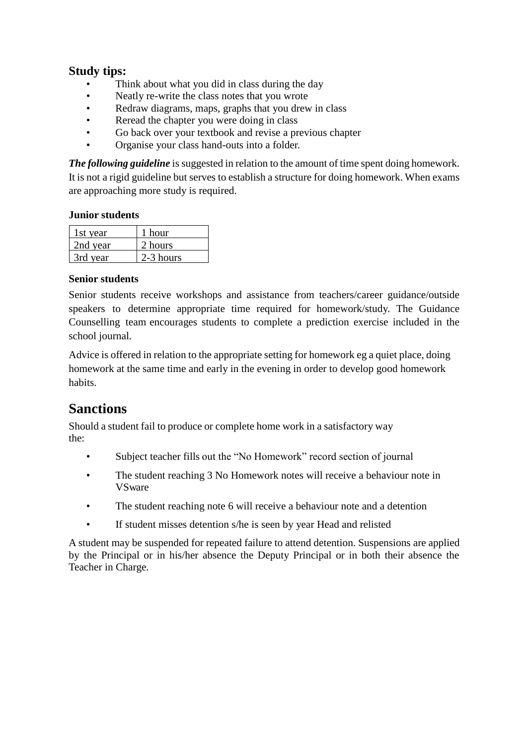### **Study tips:**

- Think about what you did in class during the day
- Neatly re-write the class notes that you wrote
- Redraw diagrams, maps, graphs that you drew in class
- Reread the chapter you were doing in class
- Go back over your textbook and revise a previous chapter
- Organise your class hand-outs into a folder.

*The following guideline* is suggested in relation to the amount of time spent doing homework. It is not a rigid guideline but serves to establish a structure for doing homework. When exams are approaching more study is required.

#### **Junior students**

| 1st year | 1 hour    |
|----------|-----------|
| 2nd year | 2 hours   |
| 3rd year | 2-3 hours |

#### **Senior students**

Senior students receive workshops and assistance from teachers/career guidance/outside speakers to determine appropriate time required for homework/study. The Guidance Counselling team encourages students to complete a prediction exercise included in the school journal.

Advice is offered in relation to the appropriate setting for homework eg a quiet place, doing homework at the same time and early in the evening in order to develop good homework habits.

## **Sanctions**

Should a student fail to produce or complete home work in a satisfactory way the:

- Subject teacher fills out the "No Homework" record section of journal
- The student reaching 3 No Homework notes will receive a behaviour note in **VSware**
- The student reaching note 6 will receive a behaviour note and a detention
- If student misses detention s/he is seen by year Head and relisted

A student may be suspended for repeated failure to attend detention. Suspensions are applied by the Principal or in his/her absence the Deputy Principal or in both their absence the Teacher in Charge.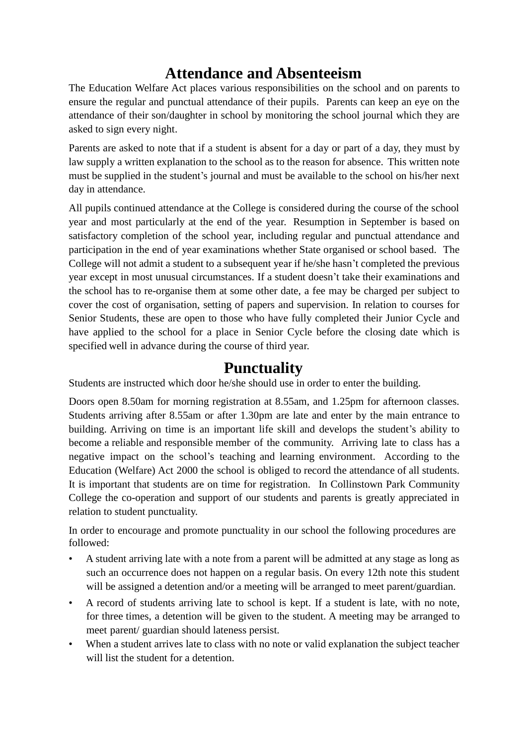# **Attendance and Absenteeism**

The Education Welfare Act places various responsibilities on the school and on parents to ensure the regular and punctual attendance of their pupils. Parents can keep an eye on the attendance of their son/daughter in school by monitoring the school journal which they are asked to sign every night.

Parents are asked to note that if a student is absent for a day or part of a day, they must by law supply a written explanation to the school as to the reason for absence. This written note must be supplied in the student's journal and must be available to the school on his/her next day in attendance.

All pupils continued attendance at the College is considered during the course of the school year and most particularly at the end of the year. Resumption in September is based on satisfactory completion of the school year, including regular and punctual attendance and participation in the end of year examinations whether State organised or school based. The College will not admit a student to a subsequent year if he/she hasn't completed the previous year except in most unusual circumstances. If a student doesn't take their examinations and the school has to re-organise them at some other date, a fee may be charged per subject to cover the cost of organisation, setting of papers and supervision. In relation to courses for Senior Students, these are open to those who have fully completed their Junior Cycle and have applied to the school for a place in Senior Cycle before the closing date which is specified well in advance during the course of third year.

## **Punctuality**

Students are instructed which door he/she should use in order to enter the building.

Doors open 8.50am for morning registration at 8.55am, and 1.25pm for afternoon classes. Students arriving after 8.55am or after 1.30pm are late and enter by the main entrance to building. Arriving on time is an important life skill and develops the student's ability to become a reliable and responsible member of the community. Arriving late to class has a negative impact on the school's teaching and learning environment. According to the Education (Welfare) Act 2000 the school is obliged to record the attendance of all students. It is important that students are on time for registration. In Collinstown Park Community College the co-operation and support of our students and parents is greatly appreciated in relation to student punctuality.

In order to encourage and promote punctuality in our school the following procedures are followed:

- A student arriving late with a note from a parent will be admitted at any stage as long as such an occurrence does not happen on a regular basis. On every 12th note this student will be assigned a detention and/or a meeting will be arranged to meet parent/guardian.
- A record of students arriving late to school is kept. If a student is late, with no note, for three times, a detention will be given to the student. A meeting may be arranged to meet parent/ guardian should lateness persist.
- When a student arrives late to class with no note or valid explanation the subject teacher will list the student for a detention.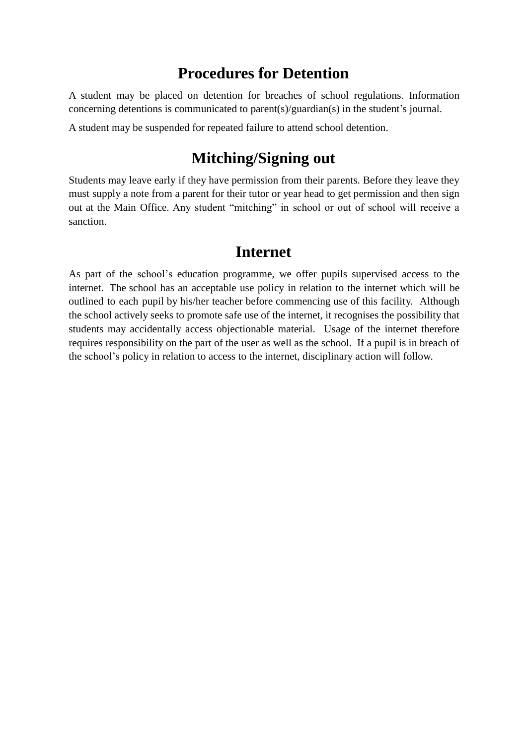## **Procedures for Detention**

A student may be placed on detention for breaches of school regulations. Information concerning detentions is communicated to parent(s)/guardian(s) in the student's journal.

A student may be suspended for repeated failure to attend school detention.

## **Mitching/Signing out**

Students may leave early if they have permission from their parents. Before they leave they must supply a note from a parent for their tutor or year head to get permission and then sign out at the Main Office. Any student "mitching" in school or out of school will receive a sanction.

## **Internet**

As part of the school's education programme, we offer pupils supervised access to the internet. The school has an acceptable use policy in relation to the internet which will be outlined to each pupil by his/her teacher before commencing use of this facility. Although the school actively seeks to promote safe use of the internet, it recognises the possibility that students may accidentally access objectionable material. Usage of the internet therefore requires responsibility on the part of the user as well as the school. If a pupil is in breach of the school's policy in relation to access to the internet, disciplinary action will follow.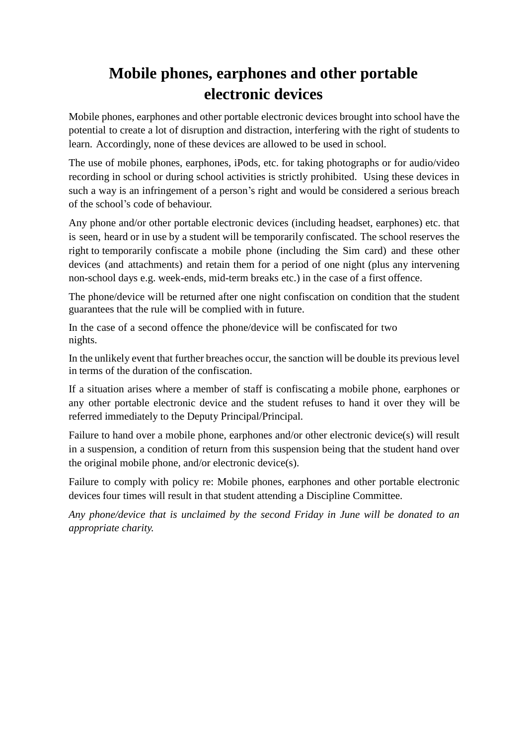# **Mobile phones, earphones and other portable electronic devices**

Mobile phones, earphones and other portable electronic devices brought into school have the potential to create a lot of disruption and distraction, interfering with the right of students to learn. Accordingly, none of these devices are allowed to be used in school.

The use of mobile phones, earphones, iPods, etc. for taking photographs or for audio/video recording in school or during school activities is strictly prohibited. Using these devices in such a way is an infringement of a person's right and would be considered a serious breach of the school's code of behaviour.

Any phone and/or other portable electronic devices (including headset, earphones) etc. that is seen, heard or in use by a student will be temporarily confiscated. The school reserves the right to temporarily confiscate a mobile phone (including the Sim card) and these other devices (and attachments) and retain them for a period of one night (plus any intervening non-school days e.g. week-ends, mid-term breaks etc.) in the case of a first offence.

The phone/device will be returned after one night confiscation on condition that the student guarantees that the rule will be complied with in future.

In the case of a second offence the phone/device will be confiscated for two nights.

In the unlikely event that further breaches occur, the sanction will be double its previous level in terms of the duration of the confiscation.

If a situation arises where a member of staff is confiscating a mobile phone, earphones or any other portable electronic device and the student refuses to hand it over they will be referred immediately to the Deputy Principal/Principal.

Failure to hand over a mobile phone, earphones and/or other electronic device(s) will result in a suspension, a condition of return from this suspension being that the student hand over the original mobile phone, and/or electronic device(s).

Failure to comply with policy re: Mobile phones, earphones and other portable electronic devices four times will result in that student attending a Discipline Committee.

*Any phone/device that is unclaimed by the second Friday in June will be donated to an appropriate charity.*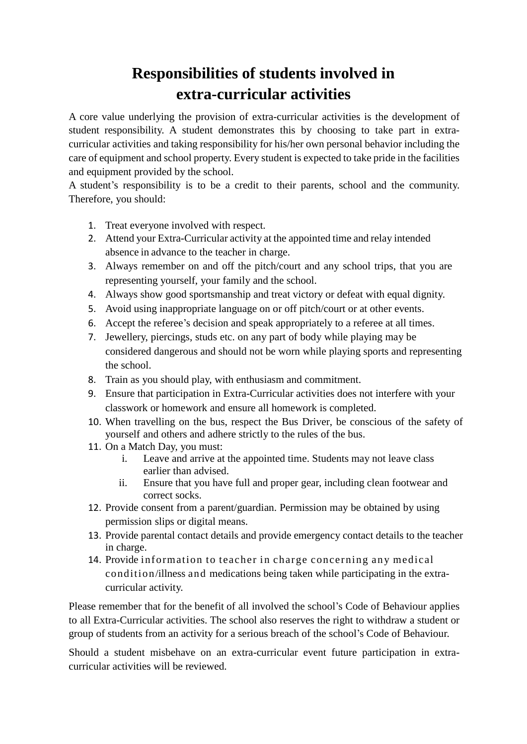# **Responsibilities of students involved in extra-curricular activities**

A core value underlying the provision of extra-curricular activities is the development of student responsibility. A student demonstrates this by choosing to take part in extracurricular activities and taking responsibility for his/her own personal behavior including the care of equipment and school property. Every student is expected to take pride in the facilities and equipment provided by the school.

A student's responsibility is to be a credit to their parents, school and the community. Therefore, you should:

- 1. Treat everyone involved with respect.
- 2. Attend your Extra-Curricular activity at the appointed time and relay intended absence in advance to the teacher in charge.
- 3. Always remember on and off the pitch/court and any school trips, that you are representing yourself, your family and the school.
- 4. Always show good sportsmanship and treat victory or defeat with equal dignity.
- 5. Avoid using inappropriate language on or off pitch/court or at other events.
- 6. Accept the referee's decision and speak appropriately to a referee at all times.
- 7. Jewellery, piercings, studs etc. on any part of body while playing may be considered dangerous and should not be worn while playing sports and representing the school.
- 8. Train as you should play, with enthusiasm and commitment.
- 9. Ensure that participation in Extra-Curricular activities does not interfere with your classwork or homework and ensure all homework is completed.
- 10. When travelling on the bus, respect the Bus Driver, be conscious of the safety of yourself and others and adhere strictly to the rules of the bus.
- 11. On a Match Day, you must:
	- i. Leave and arrive at the appointed time. Students may not leave class earlier than advised.
	- ii. Ensure that you have full and proper gear, including clean footwear and correct socks.
- 12. Provide consent from a parent/guardian. Permission may be obtained by using permission slips or digital means.
- 13. Provide parental contact details and provide emergency contact details to the teacher in charge.
- 14. Provide information to teacher in charge concerning any medical condition/illness and medications being taken while participating in the extracurricular activity.

Please remember that for the benefit of all involved the school's Code of Behaviour applies to all Extra-Curricular activities. The school also reserves the right to withdraw a student or group of students from an activity for a serious breach of the school's Code of Behaviour.

Should a student misbehave on an extra-curricular event future participation in extracurricular activities will be reviewed.